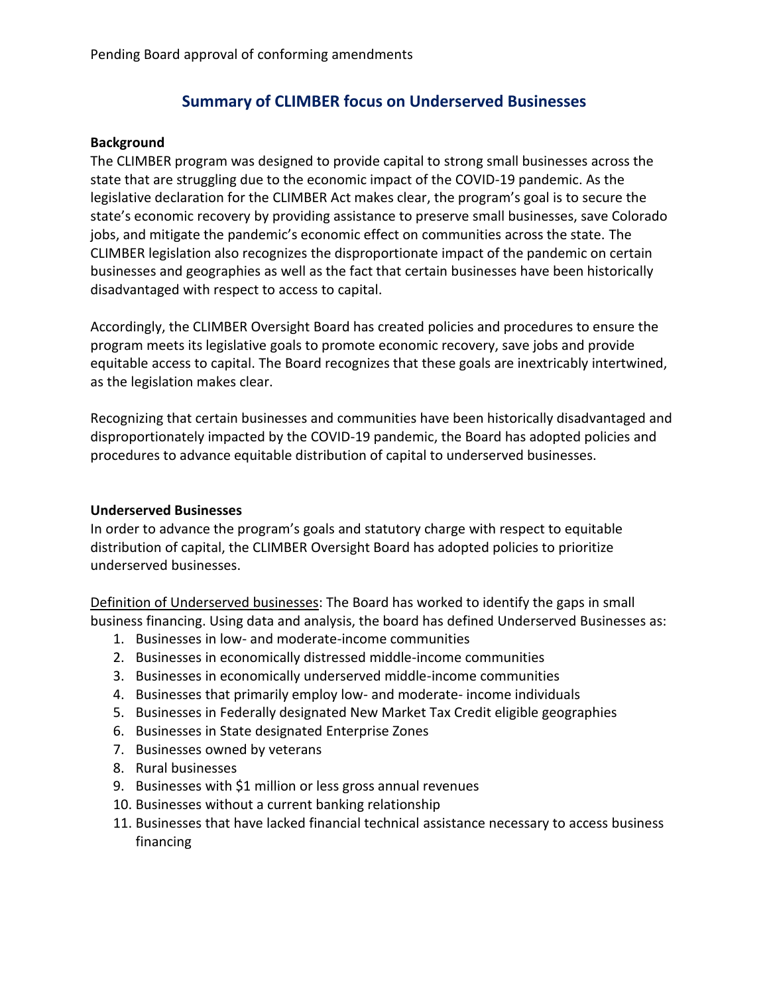# **Summary of CLIMBER focus on Underserved Businesses**

#### **Background**

The CLIMBER program was designed to provide capital to strong small businesses across the state that are struggling due to the economic impact of the COVID-19 pandemic. As the legislative declaration for the CLIMBER Act makes clear, the program's goal is to secure the state's economic recovery by providing assistance to preserve small businesses, save Colorado jobs, and mitigate the pandemic's economic effect on communities across the state. The CLIMBER legislation also recognizes the disproportionate impact of the pandemic on certain businesses and geographies as well as the fact that certain businesses have been historically disadvantaged with respect to access to capital.

Accordingly, the CLIMBER Oversight Board has created policies and procedures to ensure the program meets its legislative goals to promote economic recovery, save jobs and provide equitable access to capital. The Board recognizes that these goals are inextricably intertwined, as the legislation makes clear.

Recognizing that certain businesses and communities have been historically disadvantaged and disproportionately impacted by the COVID-19 pandemic, the Board has adopted policies and procedures to advance equitable distribution of capital to underserved businesses.

### **Underserved Businesses**

In order to advance the program's goals and statutory charge with respect to equitable distribution of capital, the CLIMBER Oversight Board has adopted policies to prioritize underserved businesses.

Definition of Underserved businesses: The Board has worked to identify the gaps in small business financing. Using data and analysis, the board has defined Underserved Businesses as:

- 1. Businesses in low- and moderate-income communities
- 2. Businesses in economically distressed middle-income communities
- 3. Businesses in economically underserved middle-income communities
- 4. Businesses that primarily employ low- and moderate- income individuals
- 5. Businesses in Federally designated New Market Tax Credit eligible geographies
- 6. Businesses in State designated Enterprise Zones
- 7. Businesses owned by veterans
- 8. Rural businesses
- 9. Businesses with \$1 million or less gross annual revenues
- 10. Businesses without a current banking relationship
- 11. Businesses that have lacked financial technical assistance necessary to access business financing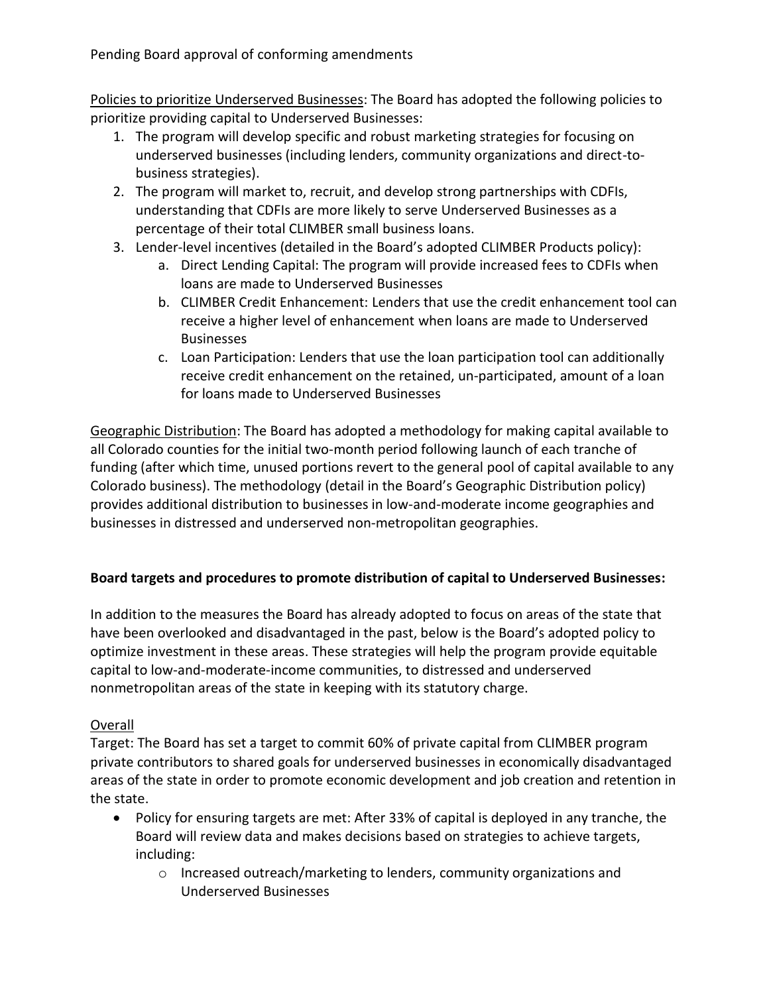Pending Board approval of conforming amendments

Policies to prioritize Underserved Businesses: The Board has adopted the following policies to prioritize providing capital to Underserved Businesses:

- 1. The program will develop specific and robust marketing strategies for focusing on underserved businesses (including lenders, community organizations and direct-tobusiness strategies).
- 2. The program will market to, recruit, and develop strong partnerships with CDFIs, understanding that CDFIs are more likely to serve Underserved Businesses as a percentage of their total CLIMBER small business loans.
- 3. Lender-level incentives (detailed in the Board's adopted CLIMBER Products policy):
	- a. Direct Lending Capital: The program will provide increased fees to CDFIs when loans are made to Underserved Businesses
	- b. CLIMBER Credit Enhancement: Lenders that use the credit enhancement tool can receive a higher level of enhancement when loans are made to Underserved **Businesses**
	- c. Loan Participation: Lenders that use the loan participation tool can additionally receive credit enhancement on the retained, un-participated, amount of a loan for loans made to Underserved Businesses

Geographic Distribution: The Board has adopted a methodology for making capital available to all Colorado counties for the initial two-month period following launch of each tranche of funding (after which time, unused portions revert to the general pool of capital available to any Colorado business). The methodology (detail in the Board's Geographic Distribution policy) provides additional distribution to businesses in low-and-moderate income geographies and businesses in distressed and underserved non-metropolitan geographies.

## **Board targets and procedures to promote distribution of capital to Underserved Businesses:**

In addition to the measures the Board has already adopted to focus on areas of the state that have been overlooked and disadvantaged in the past, below is the Board's adopted policy to optimize investment in these areas. These strategies will help the program provide equitable capital to low-and-moderate-income communities, to distressed and underserved nonmetropolitan areas of the state in keeping with its statutory charge.

## Overall

Target: The Board has set a target to commit 60% of private capital from CLIMBER program private contributors to shared goals for underserved businesses in economically disadvantaged areas of the state in order to promote economic development and job creation and retention in the state.

- Policy for ensuring targets are met: After 33% of capital is deployed in any tranche, the Board will review data and makes decisions based on strategies to achieve targets, including:
	- o Increased outreach/marketing to lenders, community organizations and Underserved Businesses